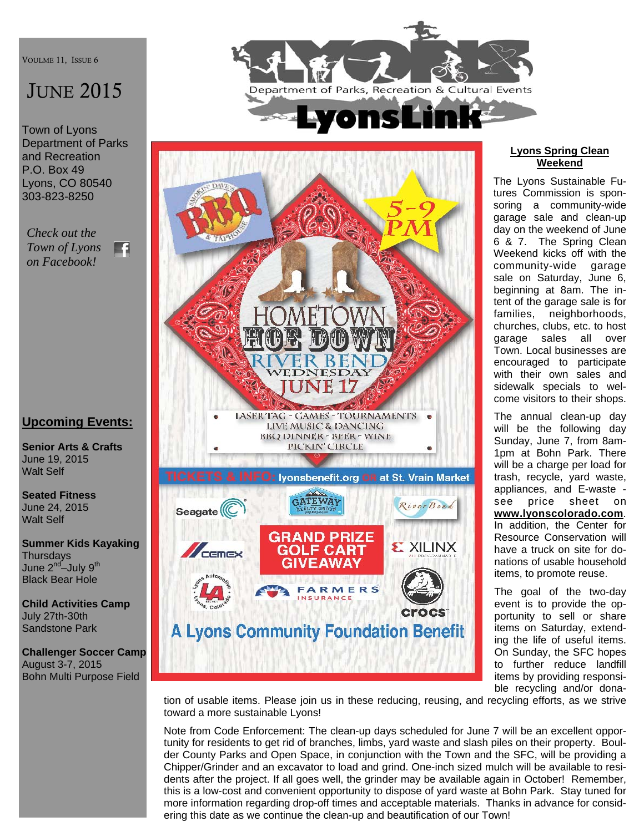VOULME 11, ISSUE 6

# **JUNE 2015**

Town of Lyons Department of Parks and Recreation P.O. Box 49 Lyons, CO 80540 303-823-8250

*Check out the Town of Lyons*  FA *on Facebook!* 

# **Upcoming Events:**

**Senior Arts & Crafts**  June 19, 2015 Walt Self

**Seated Fitness**  June 24, 2015 Walt Self

**Summer Kids Kayaking Thursdays** June 2<sup>nd</sup>–July 9<sup>th</sup> Black Bear Hole

**Child Activities Camp**  July 27th-30th Sandstone Park

**Challenger Soccer Camp**  August 3-7, 2015 Bohn Multi Purpose Field





#### **Lyons Spring Clean Weekend**

The Lyons Sustainable Futures Commission is sponsoring a community-wide garage sale and clean-up day on the weekend of June 6 & 7. The Spring Clean Weekend kicks off with the community-wide garage sale on Saturday, June 6, beginning at 8am. The intent of the garage sale is for families, neighborhoods, churches, clubs, etc. to host garage sales all over Town. Local businesses are encouraged to participate with their own sales and sidewalk specials to welcome visitors to their shops.

The annual clean-up day will be the following day Sunday, June 7, from 8am-1pm at Bohn Park. There will be a charge per load for trash, recycle, yard waste, appliances, and E-waste see price sheet on **www.lyonscolorado.com**. In addition, the Center for Resource Conservation will have a truck on site for donations of usable household items, to promote reuse.

The goal of the two-day event is to provide the opportunity to sell or share items on Saturday, extending the life of useful items. On Sunday, the SFC hopes to further reduce landfill items by providing responsible recycling and/or dona-

tion of usable items. Please join us in these reducing, reusing, and recycling efforts, as we strive toward a more sustainable Lyons!

Note from Code Enforcement: The clean-up days scheduled for June 7 will be an excellent opportunity for residents to get rid of branches, limbs, yard waste and slash piles on their property. Boulder County Parks and Open Space, in conjunction with the Town and the SFC, will be providing a Chipper/Grinder and an excavator to load and grind. One-inch sized mulch will be available to residents after the project. If all goes well, the grinder may be available again in October! Remember, this is a low-cost and convenient opportunity to dispose of yard waste at Bohn Park. Stay tuned for more information regarding drop-off times and acceptable materials. Thanks in advance for considering this date as we continue the clean-up and beautification of our Town!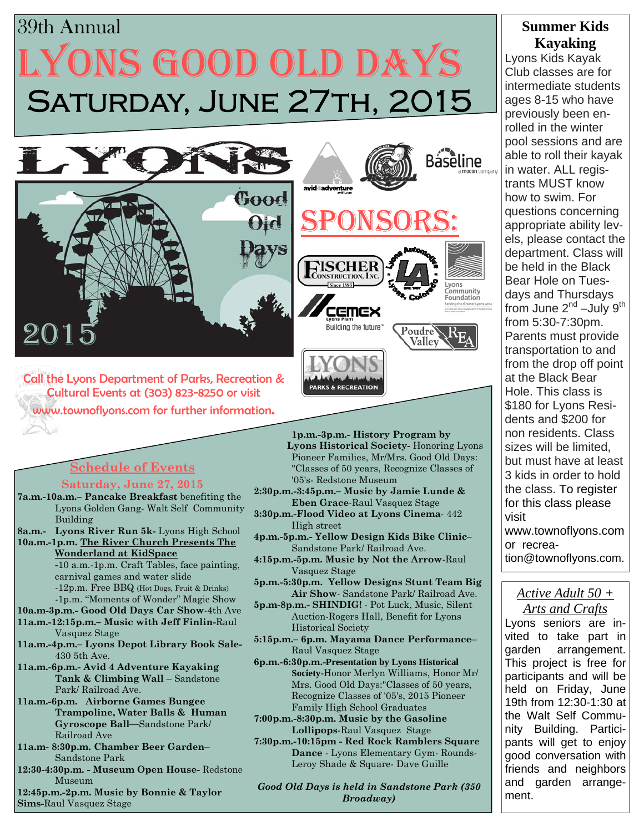# SATURDAY, JUNE 27TH, 2015 LYONS GOOD OLD DAYS 39th Annual



Call the Lyons Department of Parks, Recreation & Cultural Events at (303) 823-8250 or visit www.townoflyons.com for further information.

# **Schedule of Events**

#### **Saturday, June 27, 2015**

- **7a.m.-10a.m.– Pancake Breakfast** benefiting the Lyons Golden Gang- Walt Self Community Building
- **8a.m.- Lyons River Run 5k-** Lyons High School **10a.m.-1p.m. The River Church Presents The**

 **Wonderland at KidSpace**

 **-**10 a.m.-1p.m. Craft Tables, face painting, carnival games and water slide -12p.m. Free BBQ (Hot Dogs, Fruit & Drinks) -1p.m. "Moments of Wonder" Magic Show

- **10a.m-3p.m.- Good Old Days Car Show**-4th Ave
- **11a.m.-12:15p.m.– Music with Jeff Finlin-**Raul Vasquez Stage
- **11a.m.-4p.m.– Lyons Depot Library Book Sale-**430 5th Ave.
- **11a.m.-6p.m.- Avid 4 Adventure Kayaking Tank & Climbing Wall** – Sandstone Park/ Railroad Ave.
- **11a.m.-6p.m. Airborne Games Bungee Trampoline, Water Balls & Human Gyroscope Ball—**Sandstone Park/ Railroad Ave
- **11a.m- 8:30p.m. Chamber Beer Garden** Sandstone Park
- **12:30-4:30p.m. Museum Open House-** Redstone Museum

**12:45p.m.-2p.m. Music by Bonnie & Taylor Sims-**Raul Vasquez Stage

**1p.m.-3p.m.- History Program by Lyons Historical Society-** Honoring Lyons Pioneer Families, Mr/Mrs. Good Old Days: "Classes of 50 years, Recognize Classes of '05's- Redstone Museum

**2:30p.m.-3:45p.m.– Music by Jamie Lunde & Eben Grace**-Raul Vasquez Stage

**PARKS & RECREATION** 

**3:30p.m.-Flood Video at Lyons Cinema**- 442 High street

**4p.m.-5p.m.- Yellow Design Kids Bike Clinic–**  Sandstone Park/ Railroad Ave.

**4:15p.m.-5p.m. Music by Not the Arrow**-Raul Vasquez Stage

**5p.m.-5:30p.m. Yellow Designs Stunt Team Big Air Show**- Sandstone Park/ Railroad Ave.

- **5p.m-8p.m.- SHINDIG!** Pot Luck, Music, Silent Auction-Rogers Hall, Benefit for Lyons Historical Society
- **5:15p.m.– 6p.m. Mayama Dance Performance** Raul Vasquez Stage
- **6p.m.-6:30p.m.-Presentation by Lyons Historical Society**-Honor Merlyn Williams, Honor Mr/ Mrs. Good Old Days:"Classes of 50 years, Recognize Classes of '05's, 2015 Pioneer Family High School Graduates
- **7:00p.m.-8:30p.m. Music by the Gasoline Lollipops**-Raul Vasquez Stage
- **7:30p.m.-10:15pm Red Rock Ramblers Square Dance** - Lyons Elementary Gym- Rounds- Leroy Shade & Square- Dave Guille

*Good Old Days is held in Sandstone Park (350 Broadway)*

# **Summer Kids Kayaking**

Lyons Kids Kayak Club classes are for intermediate students ages 8-15 who have previously been enrolled in the winter pool sessions and are able to roll their kayak in water. ALL registrants MUST know how to swim. For questions concerning appropriate ability levels, please contact the department. Class will be held in the Black Bear Hole on Tuesdays and Thursdays from June  $2^{nd}$  –July  $9^{th}$ from 5:30-7:30pm. Parents must provide transportation to and from the drop off point at the Black Bear Hole. This class is \$180 for Lyons Residents and \$200 for non residents. Class sizes will be limited, but must have at least 3 kids in order to hold the class. To register for this class please visit www.townoflyons.com or recrea-

tion@townoflyons.com.

#### *Active Adult 50 + Arts and Crafts*

Lyons seniors are invited to take part in garden arrangement. This project is free for participants and will be held on Friday, June 19th from 12:30-1:30 at the Walt Self Community Building. Participants will get to enjoy good conversation with friends and neighbors and garden arrangement.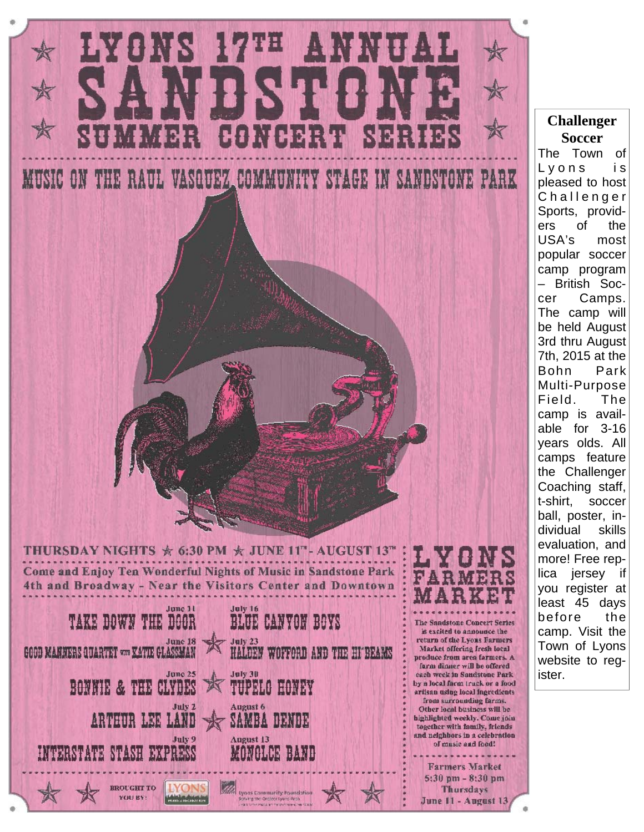

The Town of Lyons is pleased to host Challenger Sports, providers of the USA's most popular soccer camp program – British Soccer Camps. The camp will be held August 3rd thru August 7th, 2015 at the Bohn Park Multi-Purpose Field. The camp is available for 3-16 years olds. All camps feature the Challenger Coaching staff, t-shirt, soccer ball, poster, individual skills evaluation, and more! Free replica jersey if you register at least 45 days before the camp. Visit the Town of Lyons website to reg-